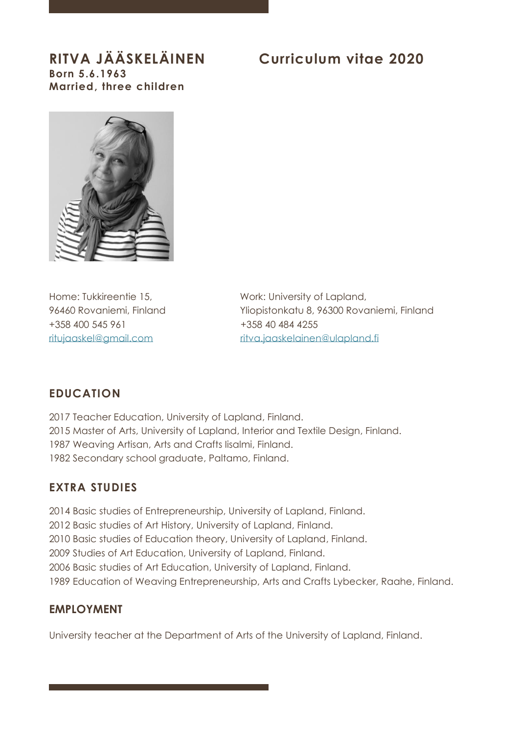# **Born 5.6.1963 Married, three children**

# **RITVA JÄÄSKELÄINEN Curriculum vitae 2020**



+358 400 545 961 +358 40 484 4255

Home: Tukkireentie 15, Work: University of Lapland, 96460 Rovaniemi, Finland Yliopistonkatu 8, 96300 Rovaniemi, Finland [ritujaaskel@gmail.com](mailto:ritujaaskel@gmail.com) [ritva.jaaskelainen@ulapland.fi](mailto:ritva.jaaskelainen@ulapland.fi)

## **EDUCATION**

2017 Teacher Education, University of Lapland, Finland. 2015 Master of Arts, University of Lapland, Interior and Textile Design, Finland. 1987 Weaving Artisan, Arts and Crafts Iisalmi, Finland. 1982 Secondary school graduate, Paltamo, Finland.

## **EXTRA STUDIES**

2014 Basic studies of Entrepreneurship, University of Lapland, Finland. 2012 Basic studies of Art History, University of Lapland, Finland. 2010 Basic studies of Education theory, University of Lapland, Finland. 2009 Studies of Art Education, University of Lapland, Finland. 2006 Basic studies of Art Education, University of Lapland, Finland. 1989 Education of Weaving Entrepreneurship, Arts and Crafts Lybecker, Raahe, Finland.

## **EMPLOYMENT**

University teacher at the Department of Arts of the University of Lapland, Finland.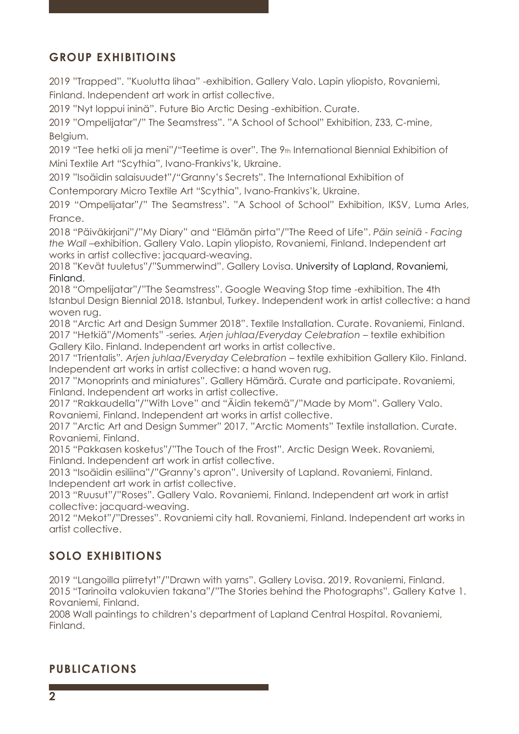# **GROUP EXHIBITIOINS**

2019 "Trapped". "Kuolutta lihaa" -exhibition. Gallery Valo. Lapin yliopisto, Rovaniemi, Finland. Independent art work in artist collective.

2019 "Nyt loppui ininä". Future Bio Arctic Desing -exhibition. Curate.

2019 "Ompelijatar"/" The Seamstress". "A School of School" Exhibition, Z33, C-mine, Belgium.

2019 "Tee hetki oli ja meni"/"Teetime is over". The 9th International Biennial Exhibition of Mini Textile Art "Scythia", Ivano-Frankivs'k, Ukraine.

2019 "Isoäidin salaisuudet"/"Granny's Secrets". The International Exhibition of

Contemporary Micro Textile Art "Scythia", Ivano-Frankivs'k, Ukraine.

2019 "Ompelijatar"/" The Seamstress". "A School of School" Exhibition, IKSV, Luma Arles, France.

2018 "Päiväkirjani"/"My Diary" and "Elämän pirta"/"The Reed of Life". *Päin seiniä* - *Facing the Wall* –exhibition. Gallery Valo. Lapin yliopisto, Rovaniemi, Finland. Independent art works in artist collective: jacquard-weaving.

2018 "Kevät tuuletus"/"Summerwind". Gallery Lovisa. University of Lapland, Rovaniemi, Finland.

2018 "Ompelijatar"/"The Seamstress". Google Weaving Stop time -exhibition. The 4th Istanbul Design Biennial 2018. Istanbul, Turkey. Independent work in artist collective: a hand woven rug.

2018 "Arctic Art and Design Summer 2018". Textile Installation. Curate. Rovaniemi, Finland. 2017 "Hetkiä"/Moments" -series*. Arjen juhlaa/Everyday Celebration* – textile exhibition Gallery Kilo. Finland. Independent art works in artist collective.

2017 "Trientalis"*. Arjen juhlaa/Everyday Celebration* – textile exhibition Gallery Kilo. Finland. Independent art works in artist collective: a hand woven rug.

2017 "Monoprints and miniatures". Gallery Hämärä. Curate and participate. Rovaniemi, Finland. Independent art works in artist collective.

2017 "Rakkaudella"/"With Love" and "Äidin tekemä"/"Made by Mom". Gallery Valo. Rovaniemi, Finland. Independent art works in artist collective.

2017 "Arctic Art and Design Summer" 2017. "Arctic Moments" Textile installation. Curate. Rovaniemi, Finland.

2015 "Pakkasen kosketus"/"The Touch of the Frost". Arctic Design Week. Rovaniemi, Finland. Independent art work in artist collective.

2013 "Isoäidin esiliina"/"Granny's apron". University of Lapland. Rovaniemi, Finland. Independent art work in artist collective.

2013 "Ruusut"/"Roses". Gallery Valo. Rovaniemi, Finland. Independent art work in artist collective: jacquard-weaving.

2012 "Mekot"/"Dresses". Rovaniemi city hall. Rovaniemi, Finland. Independent art works in artist collective.

# **SOLO EXHIBITIONS**

2019 "Langoilla piirretyt"/"Drawn with yarns". Gallery Lovisa. 2019. Rovaniemi, Finland. 2015 "Tarinoita valokuvien takana"/"The Stories behind the Photographs". Gallery Katve 1. Rovaniemi, Finland.

2008 Wall paintings to children's department of Lapland Central Hospital. Rovaniemi, Finland.

## **PUBLICATIONS**